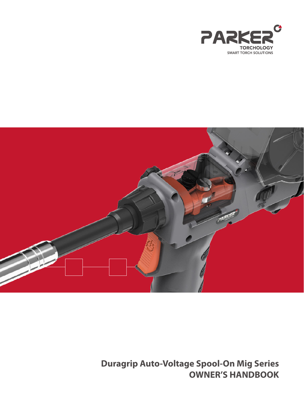



**Duragrip Auto-Voltage Spool-On Mig Series OWNER'S HANDBOOK**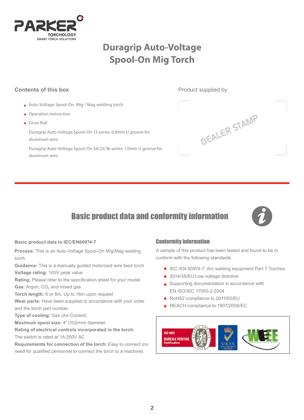

# **Duragrip Auto-Voltage Spool-On Mig Torch**

# **Contents of this box Product supplied by Product supplied by**

- Auto-Voltage Spool-On Mig / Mag welding torch
- Operation instruction
- **•** Drive Roll

 Duragrip Auto-Voltage Spool-On 15 series: 0.8mm U groove for aluminum wire.

 Duragrip Auto-Voltage Spool-On 24/25/36 series: 1.0mm U groove for aluminum wire.



# Basic product data and conformity information



#### **Basic product data to IEC/EN60974-7**

**Process:** This is an Auto-Voltage Spool-On Mig/Mag welding torch

**Guidance:** This is a manually guided motorized wire feed torch **Voltage rating:** 100V peak value

**Rating:** Please refer to the specification sheet for your model.

Gas: Argon, CO<sub>2</sub> and mixed gas

**Torch length:** 6 or 8m. Up to 16m upon request

**Wear parts:** Have been supplied in accordance with your order and the torch part number.

**Type of cooling:** Gas (Air-Cooled)

**Maximum spool size:** 4" (102mm) diameter

**Rating of electrical controls incorporated in the torch:** 

The switch is rated at 1A 250V AC

**Requirements for connection of the torch:** Easy to connect (no need for qualified personnel to connect the torch to a machine).

# Conformity information

A sample of this product has been tested and found to be in conform with the following standards

- IEC /EN 60974-7: Arc welding equipment Part 7 Torches
- 2014/35/EU Low voltage directive
- Supporting documentation in accordance with EN ISO/IEC 17050-2:2004
- RoHS2 compliance to 2011/65/EU
- REACH compliance to 1907/2006/EC

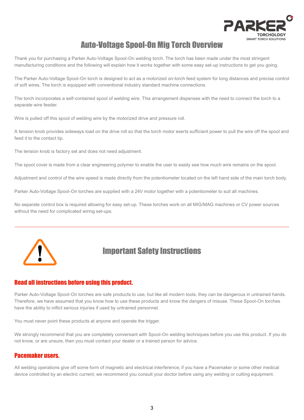

# Auto-Voltage Spool-On Mig Torch Overview

Thank you for purchasing a Parker Auto-Voltage Spool-On welding torch. The torch has been made under the most stringent manufacturing conditions and the following will explain how it works together with some easy set-up instructions to get you going.

The Parker Auto-Voltage Spool-On torch is designed to act as a motorized on-torch feed system for long distances and precise control of soft wires. The torch is equipped with conventional industry standard machine connections.

The torch incorporates a self-contained spool of welding wire. This arrangement dispenses with the need to connect the torch to a separate wire feeder.

Wire is pulled off this spool of welding wire by the motorized drive and pressure roll.

A tension knob provides sideways load on the drive roll so that the torch motor exerts sufficient power to pull the wire off the spool and feed it to the contact tip.

The tension knob is factory set and does not need adjustment.

The spool cover is made from a clear engineering polymer to enable the user to easily see how much wire remains on the spool.

Adjustment and control of the wire speed is made directly from the potentiometer located on the left hand side of the main torch body.

Parker Auto-Voltage Spool-On torches are supplied with a 24V motor together with a potentiometer to suit all machines.

No separate control box is required allowing for easy set-up. These torches work on all MIG/MAG machines or CV power sources without the need for complicated wiring set-ups.



# Important Safety Instructions

# Read all instructions before using this product.

Parker Auto-Voltage Spool-On torches are safe products to use, but like all modern tools, they can be dangerous in untrained hands. Therefore, we have assumed that you know how to use these products and know the dangers of misuse. These Spool-On torches have the ability to inflict serious injuries if used by untrained personnel.

You must never point these products at anyone and operate the trigger.

We strongly recommend that you are completely conversant with Spool-On welding techniques before you use this product. If you do not know, or are unsure, then you must contact your dealer or a trained person for advice.

### Pacemaker users.

All welding operations give off some form of magnetic and electrical interference; if you have a Pacemaker or some other medical device controlled by an electric current; we recommend you consult your doctor before using any welding or cutting equipment.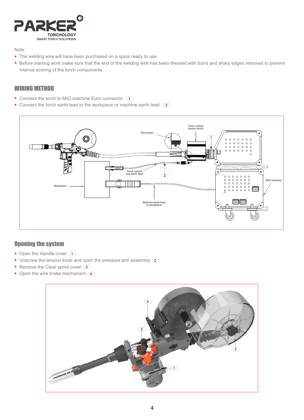

Note:

- The welding wire will have been purchased on a spool ready to use.
- Before starting work make sure that the end of the welding wire has been dressed with burrs and sharp edges removed to prevent internal scoring of the torch components.

# WIRING METHOD

- Connect the torch to MIG machine Euro connector:  $\bigcap$
- Connect the torch earth lead to the workpiece or machine earth lead:  $\circled{2}$



# Opening the system

- Open the Handle cover  $\bigcirc$
- Unscrew the tension knob and open the pressure arm assembly  $(2)$
- Remove the Clear spool cover 3
- Open the wire brake mechanism 4

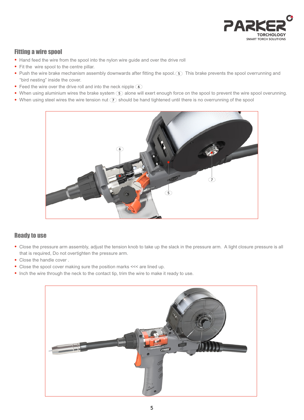

# Fitting a wire spool

- Hand feed the wire from the spool into the nylon wire quide and over the drive roll
- Fit the wire spool to the centre pillar.
- Push the wire brake mechanism assembly downwards after fitting the spool. (5) This brake prevents the spool overrunning and "bird nesting" inside the cover.
- Feed the wire over the drive roll and into the neck nipple  $\delta$
- When using aluminium wires the brake system  $\circled{S}$  alone will exert enough force on the spool to prevent the wire spool overunning.
- When using steel wires the wire tension nut  $\mathcal{D}$  should be hand tightened until there is no overrunning of the spool



# Ready to use

- Close the pressure arm assembly, adjust the tension knob to take up the slack in the pressure arm. A light closure pressure is all that is required, Do not overtighten the pressure arm.
- Close the handle cover .
- Close the spool cover making sure the position marks <<< are lined up.
- Inch the wire through the neck to the contact tip, trim the wire to make it ready to use.

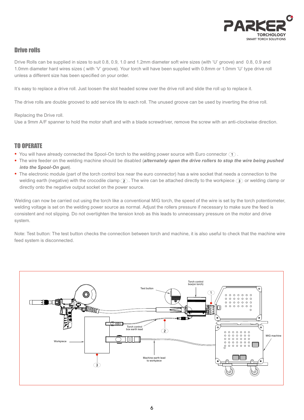

# Drive rolls

Drive Rolls can be supplied in sizes to suit 0.8, 0.9, 1.0 and 1.2mm diameter soft wire sizes (with 'U' groove) and 0.8, 0.9 and 1.0mm diameter hard wires sizes ( with 'V' groove). Your torch will have been supplied with 0.8mm or 1.0mm 'U' type drive roll unless a different size has been specified on your order.

It's easy to replace a drive roll. Just loosen the slot headed screw over the drive roll and slide the roll up to replace it.

The drive rolls are double grooved to add service life to each roll. The unused groove can be used by inverting the drive roll.

#### Replacing the Drive roll.

Use a 9mm A/F spanner to hold the motor shaft and with a blade screwdriver, remove the screw with an anti-clockwise direction.

# TO OPERATE

- You will have already connected the Spool-On torch to the welding power source with Euro connector  $\Box$ .
- The wire feeder on the welding machine should be disabled (*alternately open the drive rollers to stop the wire being pushed into the Spool-On gun*).
- The electronic module (part of the torch control box near the euro connector) has a wire socket that needs a connection to the welding earth (negative) with the crocodile clamp  $(2)$ . The wire can be attached directly to the workpiece  $(3)$  or welding clamp or directly onto the negative output socket on the power source.

Welding can now be carried out using the torch like a conventional MIG torch, the speed of the wire is set by the torch potentiometer, welding voltage is set on the welding power source as normal. Adjust the rollers pressure if necessary to make sure the feed is consistent and not slipping. Do not overtighten the tension knob as this leads to unnecessary pressure on the motor and drive system.

Note: Test button: The test button checks the connection between torch and machine, it is also useful to check that the machine wire feed system is disconnected.

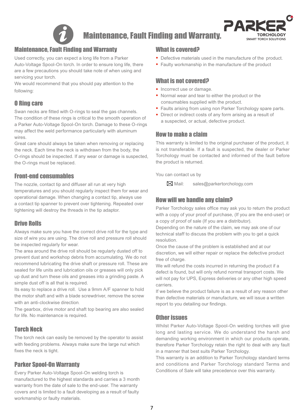

Maintenance, Fault Finding and Warranty.



# Maintenance, Fault Finding and Warranty

Used correctly, you can expect a long life from a Parker Auto-Voltage Spool-On torch. In order to ensure long life, there are a few precautions you should take note of when using and servicing your torch.

We would recommend that you should pay attention to the following:

# O Ring care

Swan necks are fitted with O-rings to seal the gas channels. The condition of these rings is critical to the smooth operation of a Parker Auto-Voltage Spool-On torch. Damage to these O-rings may affect the weld performance particularly with aluminum wires.

Great care should always be taken when removing or replacing the neck. Each time the neck is withdrawn from the body, the O-rings should be inspected. If any wear or damage is suspected, the O-rings must be replaced.

# Front-end consumables

The nozzle, contact tip and diffuser all run at very high temperatures and you should regularly inspect them for wear and operational damage. When changing a contact tip, always use a contact tip spanner to prevent over tightening. Repeated over tightening will destroy the threads in the tip adaptor.

# Drive Rolls

Always make sure you have the correct drive roll for the type and size of wire you are using. The drive roll and pressure roll should be inspected regularly for wear.

The area around the drive roll should be regularly dusted off to prevent dust and workshop debris from accumulating. We do not recommend lubricating the drive shaft or pressure roll. These are sealed for life units and lubrication oils or greases will only pick up dust and turn these oils and greases into a grinding paste. A simple dust off is all that is required.

Its easy to replace a drive roll. Use a 9mm A/F spanner to hold the motor shaft and with a blade screwdriver, remove the screw with an anti-clockwise direction.

The gearbox, drive motor and shaft top bearing are also sealed for life. No maintenance is required.

# Torch Neck

The torch neck can easily be removed by the operator to assist with feeding problems. Always make sure the large nut which fixes the neck is tight.

# Parker Spool-On Warranty

Every Parker Auto-Voltage Spool-On welding torch is manufactured to the highest standards and carries a 3 month warranty from the date of sale to the end-user. The warranty covers and is limited to a fault developing as a result of faulty workmanship or faulty materials.

# What is covered?

- Defective materials used in the manufacture of the product.
- Faulty workmanship in the manufacture of the product

# What is not covered?

- Incorrect use or damage.
- Normal wear and tear to either the product or the consumables supplied with the product.
- Faults arising from using non Parker Torchology spare parts.
- Direct or indirect costs of any form arising as a result of a suspected, or actual, defective product.

# How to make a claim

This warranty is limited to the original purchaser of the product, it is not transferable. If a fault is suspected, the dealer or Parker Torchology must be contacted and informed of the fault before the product is returned.

You can contact us by

Mail: sales@parkertorchology.com

# How will we handle any claim?

Parker Torchology sales office may ask you to return the product with a copy of your proof of purchase, (If you are the end-user) or a copy of proof of sale (If you are a distributor).

Depending on the nature of the claim, we may ask one of our technical staff to discuss the problem with you to get a quick resolution.

Once the cause of the problem is established and at our discretion, we will either repair or replace the defective product free of charge.

We will refund the costs incurred in returning the product if a defect is found, but will only refund normal transport costs. We will not pay for UPS, Express deliveries or any other high speed carriers.

If we believe the product failure is as a result of any reason other than defective materials or manufacture, we will issue a written report to you detailing our findings.

# Other issues

Whilst Parker Auto-Voltage Spool-On welding torches will give long and lasting service. We do understand the harsh and demanding working environment in which our products operate, therefore Parker Torchology retain the right to deal with any fault in a manner that best suits Parker Torchology.

This warranty is an addition to Parker Torchology standard terms and conditions and Parker Torchology standard Terms and Conditions of Sale will take precedence over this warranty.